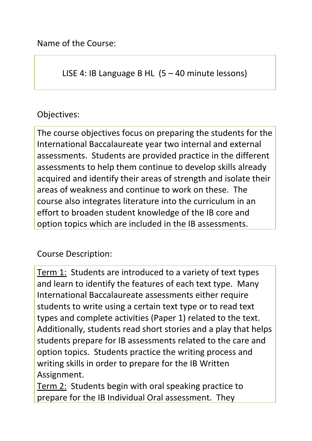Name of the Course:

LISE 4: IB Language B HL (5 – 40 minute lessons)

## Objectives:

The course objectives focus on preparing the students for the International Baccalaureate year two internal and external assessments. Students are provided practice in the different assessments to help them continue to develop skills already acquired and identify their areas of strength and isolate their areas of weakness and continue to work on these. The course also integrates literature into the curriculum in an effort to broaden student knowledge of the IB core and option topics which are included in the IB assessments.

Course Description:

Term 1: Students are introduced to a variety of text types and learn to identify the features of each text type. Many International Baccalaureate assessments either require students to write using a certain text type or to read text types and complete activities (Paper 1) related to the text. Additionally, students read short stories and a play that helps students prepare for IB assessments related to the care and option topics. Students practice the writing process and writing skills in order to prepare for the IB Written Assignment.

Term 2: Students begin with oral speaking practice to prepare for the IB Individual Oral assessment. They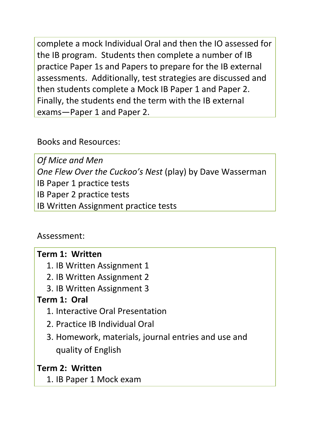complete a mock Individual Oral and then the IO assessed for the IB program. Students then complete a number of IB practice Paper 1s and Papers to prepare for the IB external assessments. Additionally, test strategies are discussed and then students complete a Mock IB Paper 1 and Paper 2. Finally, the students end the term with the IB external exams—Paper 1 and Paper 2.

Books and Resources:

*Of Mice and Men One Flew Over the Cuckoo's Nest* (play) by Dave Wasserman IB Paper 1 practice tests IB Paper 2 practice tests IB Written Assignment practice tests

Assessment:

### **Term 1: Written**

- 1. IB Written Assignment 1
- 2. IB Written Assignment 2
- 3. IB Written Assignment 3

### **Term 1: Oral**

- 1. Interactive Oral Presentation
- 2. Practice IB Individual Oral
- 3. Homework, materials, journal entries and use and quality of English

### **Term 2: Written**

1. IB Paper 1 Mock exam